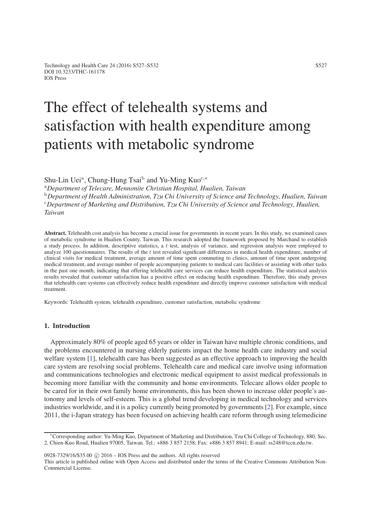# The effect of telehealth systems and satisfaction with health expenditure among patients with metabolic syndrome

Shu-Lin Uei<sup>a</sup>, Chung-Hung Tsai<sup>b</sup> and Yu-Ming Kuo<sup>c</sup>*,*<sup>∗</sup>

<sup>a</sup>*Department of Telecare, Mennonite Christian Hospital, Hualien, Taiwan* <sup>b</sup>*Department of Health Administration, Tzu Chi University of Science and Technology, Hualien, Taiwan* <sup>c</sup>*Department of Marketing and Distribution, Tzu Chi University of Science and Technology, Hualien, Taiwan*

Abstract. Telehealth cost analysis has become a crucial issue for governments in recent years. In this study, we examined cases of metabolic syndrome in Hualien County, Taiwan. This research adopted the framework proposed by Marchand to establish a study process. In addition, descriptive statistics, a *t* test, analysis of variance, and regression analysis were employed to analyze 100 questionnaires. The results of the *t* test revealed significant differences in medical health expenditure, number of clinical visits for medical treatment, average amount of time spent commuting to clinics, amount of time spent undergoing medical treatment, and average number of people accompanying patients to medical care facilities or assisting with other tasks in the past one month, indicating that offering telehealth care services can reduce health expenditure. The statistical analysis results revealed that customer satisfaction has a positive effect on reducing health expenditure. Therefore, this study proves that telehealth care systems can effectively reduce health expenditure and directly improve customer satisfaction with medical treatment.

Keywords: Telehealth system, telehealth expenditure, customer satisfaction, metabolic syndrome

## 1. Introduction

Approximately 80% of people aged 65 years or older in Taiwan have multiple chronic conditions, and the problems encountered in nursing elderly patients impact the home health care industry and social welfare system [\[1\]](#page-5-0), telehealth care has been suggested as an effective approach to improving the health care system are resolving social problems. Telehealth care and medical care involve using information and communications technologies and electronic medical equipment to assist medical professionals in becoming more familiar with the community and home environments. Telecare allows older people to be cared for in their own family home environments, this has been shown to increase older people's autonomy and levels of self-esteem. This is a global trend developing in medical technology and services industries worldwide, and it is a policy currently being promoted by governments [\[2\]](#page-5-1). For example, since 2011, the i-Japan strategy has been focused on achieving health care reform through using telemedicine

 $0928-7329/16/$ \$35.00  $\odot$  2016 – IOS Press and the authors. All rights reserved

This article is published online with Open Access and distributed under the terms of the Creative Commons Attribution Non-Commercial License.

<sup>∗</sup>Corresponding author: Yu-Ming Kuo, Department of Marketing and Distribution, Tzu Chi College of Technology, 880, Sec. 2, Chien-Kuo Road, Hualien 97005, Taiwan. Tel.: +886 3 857 2158; Fax: +886 3 857 8941; E-mail: ss248@tccn.edu.tw.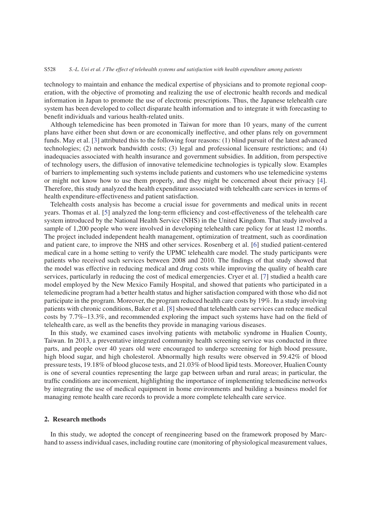#### S528 *S.-L. Uei et al. / The effect of telehealth systems and satisfaction with health expenditure among patients*

technology to maintain and enhance the medical expertise of physicians and to promote regional cooperation, with the objective of promoting and realizing the use of electronic health records and medical information in Japan to promote the use of electronic prescriptions. Thus, the Japanese telehealth care system has been developed to collect disparate health information and to integrate it with forecasting to benefit individuals and various health-related units.

Although telemedicine has been promoted in Taiwan for more than 10 years, many of the current plans have either been shut down or are economically ineffective, and other plans rely on government funds. May et al. [\[3\]](#page-5-2) attributed this to the following four reasons: (1) blind pursuit of the latest advanced technologies; (2) network bandwidth costs; (3) legal and professional licensure restrictions; and (4) inadequacies associated with health insurance and government subsidies. In addition, from perspective of technology users, the diffusion of innovative telemedicine technologies is typically slow. Examples of barriers to implementing such systems include patients and customers who use telemedicine systems or might not know how to use them properly, and they might be concerned about their privacy [\[4\]](#page-5-3). Therefore, this study analyzed the health expenditure associated with telehealth care services in terms of health expenditure-effectiveness and patient satisfaction.

Telehealth costs analysis has become a crucial issue for governments and medical units in recent years. Thomas et al. [\[5\]](#page-5-4) analyzed the long-term efficiency and cost-effectiveness of the telehealth care system introduced by the National Health Service (NHS) in the United Kingdom. That study involved a sample of 1,200 people who were involved in developing telehealth care policy for at least 12 months. The project included independent health management, optimization of treatment, such as coordination and patient care, to improve the NHS and other services. Rosenberg et al. [\[6\]](#page-5-5) studied patient-centered medical care in a home setting to verify the UPMC telehealth care model. The study participants were patients who received such services between 2008 and 2010. The findings of that study showed that the model was effective in reducing medical and drug costs while improving the quality of health care services, particularly in reducing the cost of medical emergencies. Cryer et al. [\[7\]](#page-5-6) studied a health care model employed by the New Mexico Family Hospital, and showed that patients who participated in a telemedicine program had a better health status and higher satisfaction compared with those who did not participate in the program. Moreover, the program reduced health care costs by 19%. In a study involving patients with chronic conditions, Baker et al. [\[8\]](#page-5-7) showed that telehealth care services can reduce medical costs by 7.7%–13.3%, and recommended exploring the impact such systems have had on the field of telehealth care, as well as the benefits they provide in managing various diseases.

In this study, we examined cases involving patients with metabolic syndrome in Hualien County, Taiwan. In 2013, a preventative integrated community health screening service was conducted in three parts, and people over 40 years old were encouraged to undergo screening for high blood pressure, high blood sugar, and high cholesterol. Abnormally high results were observed in 59.42% of blood pressure tests, 19.18% of blood glucose tests, and 21.03% of blood lipid tests. Moreover, Hualien County is one of several counties representing the large gap between urban and rural areas; in particular, the traffic conditions are inconvenient, highlighting the importance of implementing telemedicine networks by integrating the use of medical equipment in home environments and building a business model for managing remote health care records to provide a more complete telehealth care service.

### 2. Research methods

In this study, we adopted the concept of reengineering based on the framework proposed by Marchand to assess individual cases, including routine care (monitoring of physiological measurement values,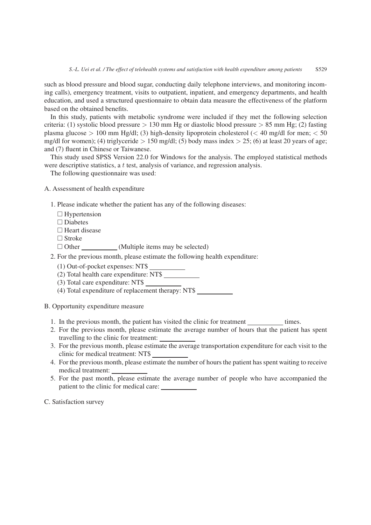such as blood pressure and blood sugar, conducting daily telephone interviews, and monitoring incoming calls), emergency treatment, visits to outpatient, inpatient, and emergency departments, and health education, and used a structured questionnaire to obtain data measure the effectiveness of the platform based on the obtained benefits.

In this study, patients with metabolic syndrome were included if they met the following selection criteria: (1) systolic blood pressure *>* 130 mm Hg or diastolic blood pressure *>* 85 mm Hg; (2) fasting plasma glucose *>* 100 mm Hg/dl; (3) high-density lipoprotein cholesterol (*<* 40 mg/dl for men; *<* 50 mg/dl for women); (4) triglyceride *>* 150 mg/dl; (5) body mass index *>* 25; (6) at least 20 years of age; and (7) fluent in Chinese or Taiwanese.

This study used SPSS Version 22.0 for Windows for the analysis. The employed statistical methods were descriptive statistics, a *t* test, analysis of variance, and regression analysis.

The following questionnaire was used:

A. Assessment of health expenditure

- 1. Please indicate whether the patient has any of the following diseases:
	- $\Box$  Hypertension
	- □ Diabetes
	- □ Heart disease
	- $\Box$  Stroke
	- □ Other \_\_\_\_\_\_\_\_\_\_(Multiple items may be selected)
- 2. For the previous month, please estimate the following health expenditure:
	- (1) Out-of-pocket expenses: NT\$
	- (2) Total health care expenditure: NT\$
	- (3) Total care expenditure: NT\$
	- (4) Total expenditure of replacement therapy: NT\$
- B. Opportunity expenditure measure
	- 1. In the previous month, the patient has visited the clinic for treatment \_\_\_\_\_\_\_\_\_\_\_\_ times.
	- 2. For the previous month, please estimate the average number of hours that the patient has spent travelling to the clinic for treatment:
	- 3. For the previous month, please estimate the average transportation expenditure for each visit to the clinic for medical treatment: NT\$
	- 4. For the previous month, please estimate the number of hours the patient has spent waiting to receive medical treatment:
	- 5. For the past month, please estimate the average number of people who have accompanied the patient to the clinic for medical care:

C. Satisfaction survey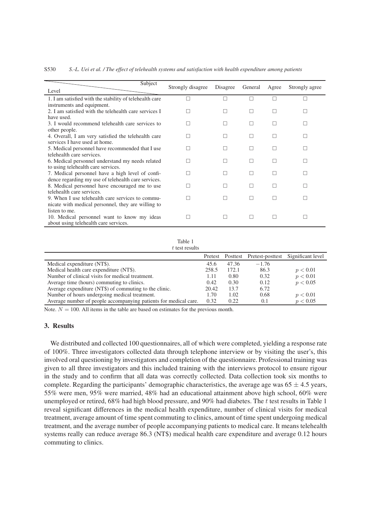| Subject                                                 | Strongly disagree | Disagree | General | Agree        | Strongly agree |
|---------------------------------------------------------|-------------------|----------|---------|--------------|----------------|
| Level                                                   |                   |          |         |              |                |
| 1. I am satisfied with the stability of telehealth care |                   |          |         |              |                |
| instruments and equipment.                              |                   |          |         |              |                |
| 2. I am satisfied with the telehealth care services I   |                   |          |         | $\mathsf{L}$ |                |
| have used.                                              |                   |          |         |              |                |
| 3. I would recommend telehealth care services to        |                   |          |         | П            | H              |
| other people.                                           |                   |          |         |              |                |
| 4. Overall, I am very satisfied the telehealth care     |                   |          |         | $\mathbf{1}$ | H              |
| services I have used at home.                           |                   |          |         |              |                |
| 5. Medical personnel have recommended that I use        |                   |          |         |              |                |
| telehealth care services.                               |                   |          |         |              |                |
| 6. Medical personnel understand my needs related        |                   |          |         | П            |                |
| to using telehealth care services.                      |                   |          |         |              |                |
| 7. Medical personnel have a high level of confi-        |                   |          |         | $\mathsf{L}$ |                |
| dence regarding my use of telehealth care services.     |                   |          |         |              |                |
| 8. Medical personnel have encouraged me to use          |                   |          |         |              |                |
| telehealth care services.                               |                   |          |         |              |                |
| 9. When I use telehealth care services to commu-        |                   |          |         |              |                |
| nicate with medical personnel, they are willing to      |                   |          |         |              |                |
| listen to me.                                           |                   |          |         |              |                |
| 10. Medical personnel want to know my ideas             |                   |          |         |              |                |
| about using telehealth care services.                   |                   |          |         |              |                |

S530 *S.-L. Uei et al. / The effect of telehealth systems and satisfaction with health expenditure among patients*

Table 1 *t* test results

|                                                                  |       |       |         | Pretest Posttest Pretest-posttest Significant level |
|------------------------------------------------------------------|-------|-------|---------|-----------------------------------------------------|
| Medical expenditure (NT\$).                                      | 45.6  | 47.36 | $-1.76$ |                                                     |
| Medical health care expenditure (NT\$).                          | 258.5 | 172.1 | 86.3    | p < 0.01                                            |
| Number of clinical visits for medical treatment.                 | 1.11  | 0.80  | 0.32    | p < 0.01                                            |
| Average time (hours) commuting to clinics.                       | 0.42  | 0.30  | 0.12    | p < 0.05                                            |
| Average expenditure (NT\$) of commuting to the clinic.           | 20.42 | 13.7  | 6.72    |                                                     |
| Number of hours undergoing medical treatment.                    | 1.70  | 1.02  | 0.68    | p < 0.01                                            |
| Average number of people accompanying patients for medical care. | 0.32  | 0.22  | 0.1     | p < 0.05                                            |

Note.  $N = 100$ . All items in the table are based on estimates for the previous month.

## 3. Results

We distributed and collected 100 questionnaires, all of which were completed, yielding a response rate of 100%. Three investigators collected data through telephone interview or by visiting the user's, this involved oral questioning by investigators and completion of the questionnaire. Professional training was given to all three investigators and this included training with the interviews protocol to ensure rigour in the study and to confirm that all data was correctly collected. Data collection took six months to complete. Regarding the participants' demographic characteristics, the average age was  $65 \pm 4.5$  years, 55% were men, 95% were married, 48% had an educational attainment above high school, 60% were unemployed or retired, 68% had high blood pressure, and 90% had diabetes. The *t* test results in Table 1 reveal significant differences in the medical health expenditure, number of clinical visits for medical treatment, average amount of time spent commuting to clinics, amount of time spent undergoing medical treatment, and the average number of people accompanying patients to medical care. It means telehealth systems really can reduce average 86.3 (NT\$) medical health care expenditure and average 0.12 hours commuting to clinics.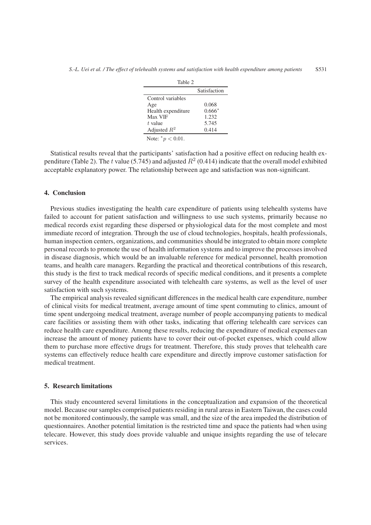| Table 2            |              |  |  |  |  |
|--------------------|--------------|--|--|--|--|
|                    | Satisfaction |  |  |  |  |
| Control variables  |              |  |  |  |  |
| Age                | 0.068        |  |  |  |  |
| Health expenditure | $0.666*$     |  |  |  |  |
| Max VIF            | 1.232        |  |  |  |  |
| $t$ value          | 5.745        |  |  |  |  |
| Adjusted $R^2$     | 0.414        |  |  |  |  |
| Note: $p < 0.01$ . |              |  |  |  |  |

Statistical results reveal that the participants' satisfaction had a positive effect on reducing health expenditure (Table 2). The *t* value (5.745) and adjusted  $R^2$  (0.414) indicate that the overall model exhibited acceptable explanatory power. The relationship between age and satisfaction was non-significant.

#### 4. Conclusion

Previous studies investigating the health care expenditure of patients using telehealth systems have failed to account for patient satisfaction and willingness to use such systems, primarily because no medical records exist regarding these dispersed or physiological data for the most complete and most immediate record of integration. Through the use of cloud technologies, hospitals, health professionals, human inspection centers, organizations, and communities should be integrated to obtain more complete personal records to promote the use of health information systems and to improve the processes involved in disease diagnosis, which would be an invaluable reference for medical personnel, health promotion teams, and health care managers. Regarding the practical and theoretical contributions of this research, this study is the first to track medical records of specific medical conditions, and it presents a complete survey of the health expenditure associated with telehealth care systems, as well as the level of user satisfaction with such systems.

The empirical analysis revealed significant differences in the medical health care expenditure, number of clinical visits for medical treatment, average amount of time spent commuting to clinics, amount of time spent undergoing medical treatment, average number of people accompanying patients to medical care facilities or assisting them with other tasks, indicating that offering telehealth care services can reduce health care expenditure. Among these results, reducing the expenditure of medical expenses can increase the amount of money patients have to cover their out-of-pocket expenses, which could allow them to purchase more effective drugs for treatment. Therefore, this study proves that telehealth care systems can effectively reduce health care expenditure and directly improve customer satisfaction for medical treatment.

## 5. Research limitations

This study encountered several limitations in the conceptualization and expansion of the theoretical model. Because our samples comprised patients residing in rural areas in Eastern Taiwan, the cases could not be monitored continuously, the sample was small, and the size of the area impeded the distribution of questionnaires. Another potential limitation is the restricted time and space the patients had when using telecare. However, this study does provide valuable and unique insights regarding the use of telecare services.